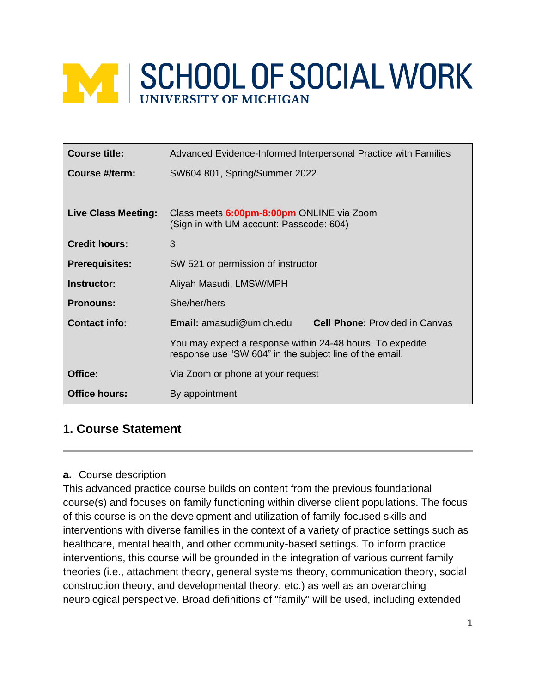# **MINISCHOOL OF SOCIAL WORK**

| <b>Course title:</b>       | Advanced Evidence-Informed Interpersonal Practice with Families                                                      |  |  |
|----------------------------|----------------------------------------------------------------------------------------------------------------------|--|--|
| Course #/term:             | SW604 801, Spring/Summer 2022                                                                                        |  |  |
|                            |                                                                                                                      |  |  |
| <b>Live Class Meeting:</b> | Class meets 6:00pm-8:00pm ONLINE via Zoom<br>(Sign in with UM account: Passcode: 604)                                |  |  |
| <b>Credit hours:</b>       | 3                                                                                                                    |  |  |
| <b>Prerequisites:</b>      | SW 521 or permission of instructor                                                                                   |  |  |
| Instructor:                | Aliyah Masudi, LMSW/MPH                                                                                              |  |  |
| <b>Pronouns:</b>           | She/her/hers                                                                                                         |  |  |
| <b>Contact info:</b>       | <b>Email:</b> amasudi@umich.edu<br><b>Cell Phone: Provided in Canvas</b>                                             |  |  |
|                            | You may expect a response within 24-48 hours. To expedite<br>response use "SW 604" in the subject line of the email. |  |  |
| Office:                    | Via Zoom or phone at your request                                                                                    |  |  |
| <b>Office hours:</b>       | By appointment                                                                                                       |  |  |

# **1. Course Statement**

#### **a.** Course description

This advanced practice course builds on content from the previous foundational course(s) and focuses on family functioning within diverse client populations. The focus of this course is on the development and utilization of family-focused skills and interventions with diverse families in the context of a variety of practice settings such as healthcare, mental health, and other community-based settings. To inform practice interventions, this course will be grounded in the integration of various current family theories (i.e., attachment theory, general systems theory, communication theory, social construction theory, and developmental theory, etc.) as well as an overarching neurological perspective. Broad definitions of "family" will be used, including extended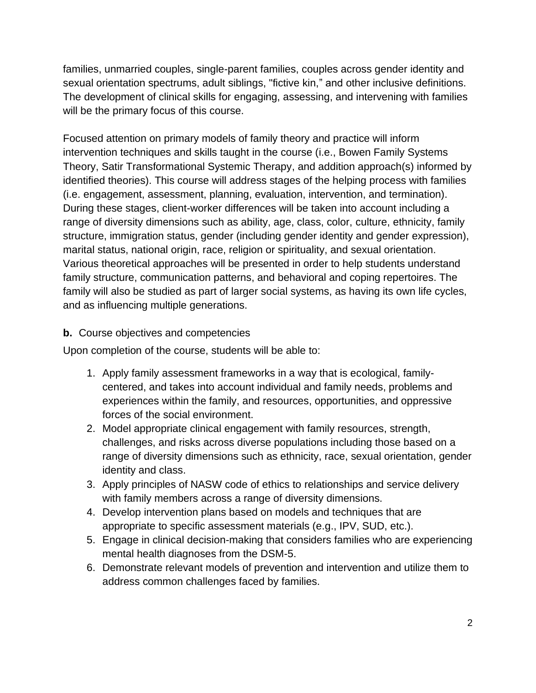families, unmarried couples, single-parent families, couples across gender identity and sexual orientation spectrums, adult siblings, "fictive kin," and other inclusive definitions. The development of clinical skills for engaging, assessing, and intervening with families will be the primary focus of this course.

Focused attention on primary models of family theory and practice will inform intervention techniques and skills taught in the course (i.e., Bowen Family Systems Theory, Satir Transformational Systemic Therapy, and addition approach(s) informed by identified theories). This course will address stages of the helping process with families (i.e. engagement, assessment, planning, evaluation, intervention, and termination). During these stages, client-worker differences will be taken into account including a range of diversity dimensions such as ability, age, class, color, culture, ethnicity, family structure, immigration status, gender (including gender identity and gender expression), marital status, national origin, race, religion or spirituality, and sexual orientation. Various theoretical approaches will be presented in order to help students understand family structure, communication patterns, and behavioral and coping repertoires. The family will also be studied as part of larger social systems, as having its own life cycles, and as influencing multiple generations.

#### **b.** Course objectives and competencies

Upon completion of the course, students will be able to:

- 1. Apply family assessment frameworks in a way that is ecological, familycentered, and takes into account individual and family needs, problems and experiences within the family, and resources, opportunities, and oppressive forces of the social environment.
- 2. Model appropriate clinical engagement with family resources, strength, challenges, and risks across diverse populations including those based on a range of diversity dimensions such as ethnicity, race, sexual orientation, gender identity and class.
- 3. Apply principles of NASW code of ethics to relationships and service delivery with family members across a range of diversity dimensions.
- 4. Develop intervention plans based on models and techniques that are appropriate to specific assessment materials (e.g., IPV, SUD, etc.).
- 5. Engage in clinical decision-making that considers families who are experiencing mental health diagnoses from the DSM-5.
- 6. Demonstrate relevant models of prevention and intervention and utilize them to address common challenges faced by families.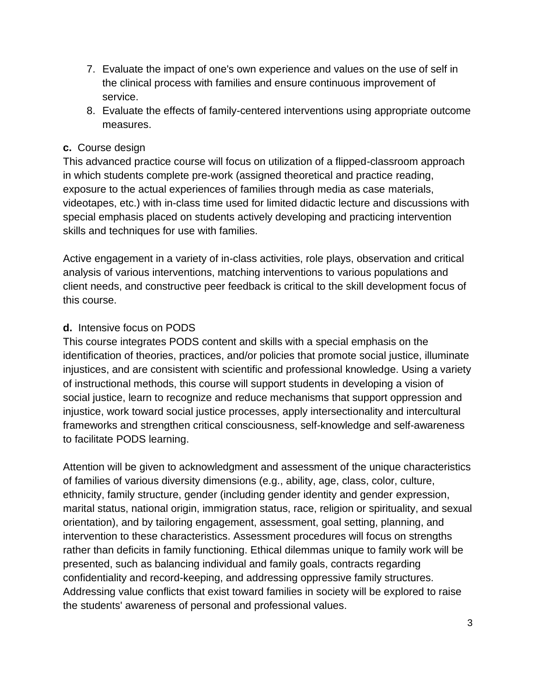- 7. Evaluate the impact of one's own experience and values on the use of self in the clinical process with families and ensure continuous improvement of service.
- 8. Evaluate the effects of family-centered interventions using appropriate outcome measures.

#### **c.** Course design

This advanced practice course will focus on utilization of a flipped-classroom approach in which students complete pre-work (assigned theoretical and practice reading, exposure to the actual experiences of families through media as case materials, videotapes, etc.) with in-class time used for limited didactic lecture and discussions with special emphasis placed on students actively developing and practicing intervention skills and techniques for use with families.

Active engagement in a variety of in-class activities, role plays, observation and critical analysis of various interventions, matching interventions to various populations and client needs, and constructive peer feedback is critical to the skill development focus of this course.

## **d.** Intensive focus on PODS

This course integrates PODS content and skills with a special emphasis on the identification of theories, practices, and/or policies that promote social justice, illuminate injustices, and are consistent with scientific and professional knowledge. Using a variety of instructional methods, this course will support students in developing a vision of social justice, learn to recognize and reduce mechanisms that support oppression and injustice, work toward social justice processes, apply intersectionality and intercultural frameworks and strengthen critical consciousness, self-knowledge and self-awareness to facilitate PODS learning.

Attention will be given to acknowledgment and assessment of the unique characteristics of families of various diversity dimensions (e.g., ability, age, class, color, culture, ethnicity, family structure, gender (including gender identity and gender expression, marital status, national origin, immigration status, race, religion or spirituality, and sexual orientation), and by tailoring engagement, assessment, goal setting, planning, and intervention to these characteristics. Assessment procedures will focus on strengths rather than deficits in family functioning. Ethical dilemmas unique to family work will be presented, such as balancing individual and family goals, contracts regarding confidentiality and record-keeping, and addressing oppressive family structures. Addressing value conflicts that exist toward families in society will be explored to raise the students' awareness of personal and professional values.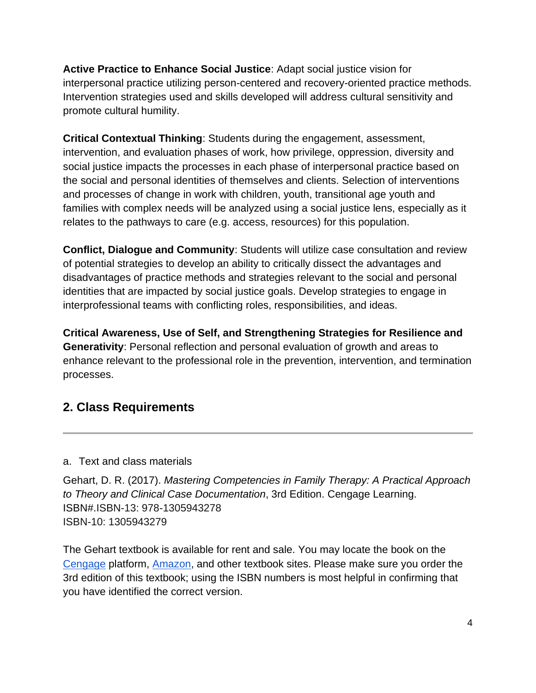**Active Practice to Enhance Social Justice**: Adapt social justice vision for interpersonal practice utilizing person-centered and recovery-oriented practice methods. Intervention strategies used and skills developed will address cultural sensitivity and promote cultural humility.

**Critical Contextual Thinking**: Students during the engagement, assessment, intervention, and evaluation phases of work, how privilege, oppression, diversity and social justice impacts the processes in each phase of interpersonal practice based on the social and personal identities of themselves and clients. Selection of interventions and processes of change in work with children, youth, transitional age youth and families with complex needs will be analyzed using a social justice lens, especially as it relates to the pathways to care (e.g. access, resources) for this population.

**Conflict, Dialogue and Community**: Students will utilize case consultation and review of potential strategies to develop an ability to critically dissect the advantages and disadvantages of practice methods and strategies relevant to the social and personal identities that are impacted by social justice goals. Develop strategies to engage in interprofessional teams with conflicting roles, responsibilities, and ideas.

**Critical Awareness, Use of Self, and Strengthening Strategies for Resilience and Generativity**: Personal reflection and personal evaluation of growth and areas to enhance relevant to the professional role in the prevention, intervention, and termination processes.

# **2. Class Requirements**

#### a. Text and class materials

Gehart, D. R. (2017). *Mastering Competencies in Family Therapy: A Practical Approach to Theory and Clinical Case Documentation*, 3rd Edition. Cengage Learning. ISBN#.ISBN-13: 978-1305943278 ISBN-10: 1305943279

The Gehart textbook is available for rent and sale. You may locate the book on the [Cengage](https://www.cengage.com/student/) platform, [Amazon,](https://www.amazon.com/Mastering-Competencies-Family-Therapy-Documentation/dp/1305943279) and other textbook sites. Please make sure you order the 3rd edition of this textbook; using the ISBN numbers is most helpful in confirming that you have identified the correct version.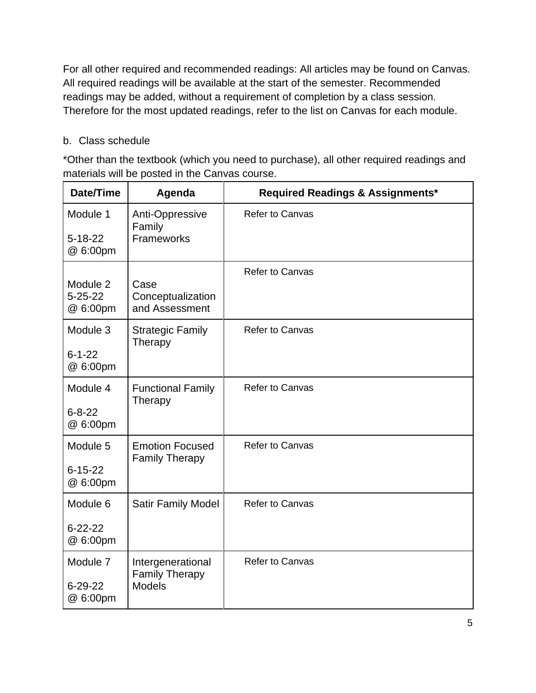For all other required and recommended readings: All articles may be found on Canvas. All required readings will be available at the start of the semester. Recommended readings may be added, without a requirement of completion by a class session. Therefore for the most updated readings, refer to the list on Canvas for each module.

#### b. Class schedule

\*Other than the textbook (which you need to purchase), all other required readings and materials will be posted in the Canvas course.

| Date/Time                             | Agenda                                                      | <b>Required Readings &amp; Assignments*</b> |
|---------------------------------------|-------------------------------------------------------------|---------------------------------------------|
| Module 1<br>$5 - 18 - 22$<br>@ 6:00pm | Anti-Oppressive<br>Family<br>Frameworks                     | <b>Refer to Canvas</b>                      |
| Module 2<br>$5 - 25 - 22$<br>@ 6:00pm | Case<br>Conceptualization<br>and Assessment                 | <b>Refer to Canvas</b>                      |
| Module 3<br>$6 - 1 - 22$<br>@ 6:00pm  | <b>Strategic Family</b><br>Therapy                          | <b>Refer to Canvas</b>                      |
| Module 4<br>$6 - 8 - 22$<br>@ 6:00pm  | <b>Functional Family</b><br>Therapy                         | <b>Refer to Canvas</b>                      |
| Module 5<br>$6 - 15 - 22$<br>@ 6:00pm | <b>Emotion Focused</b><br><b>Family Therapy</b>             | <b>Refer to Canvas</b>                      |
| Module 6<br>$6 - 22 - 22$<br>@ 6:00pm | Satir Family Model                                          | <b>Refer to Canvas</b>                      |
| Module 7<br>$6 - 29 - 22$<br>@ 6:00pm | Intergenerational<br><b>Family Therapy</b><br><b>Models</b> | <b>Refer to Canvas</b>                      |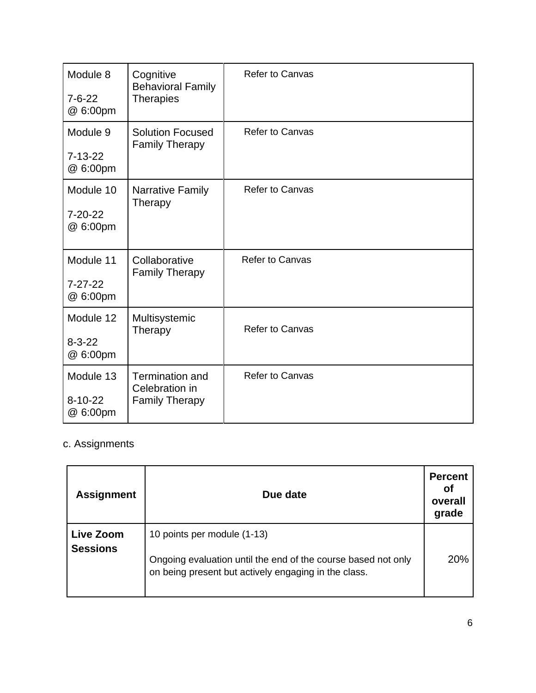| Module 8<br>$7 - 6 - 22$<br>@ 6:00pm   | Cognitive<br><b>Behavioral Family</b><br><b>Therapies</b>         | <b>Refer to Canvas</b> |
|----------------------------------------|-------------------------------------------------------------------|------------------------|
| Module 9<br>$7-13-22$<br>@ 6:00pm      | <b>Solution Focused</b><br><b>Family Therapy</b>                  | <b>Refer to Canvas</b> |
| Module 10<br>$7 - 20 - 22$<br>@ 6:00pm | <b>Narrative Family</b><br>Therapy                                | <b>Refer to Canvas</b> |
| Module 11<br>$7 - 27 - 22$<br>@ 6:00pm | Collaborative<br><b>Family Therapy</b>                            | <b>Refer to Canvas</b> |
| Module 12<br>$8 - 3 - 22$<br>@ 6:00pm  | Multisystemic<br>Therapy                                          | <b>Refer to Canvas</b> |
| Module 13<br>$8 - 10 - 22$<br>@ 6:00pm | <b>Termination and</b><br>Celebration in<br><b>Family Therapy</b> | <b>Refer to Canvas</b> |

# c. Assignments

| <b>Assignment</b>            | Due date                                                                                                                                             | <b>Percent</b><br>Οt<br>overall<br>grade |
|------------------------------|------------------------------------------------------------------------------------------------------------------------------------------------------|------------------------------------------|
| Live Zoom<br><b>Sessions</b> | 10 points per module (1-13)<br>Ongoing evaluation until the end of the course based not only<br>on being present but actively engaging in the class. | 20%                                      |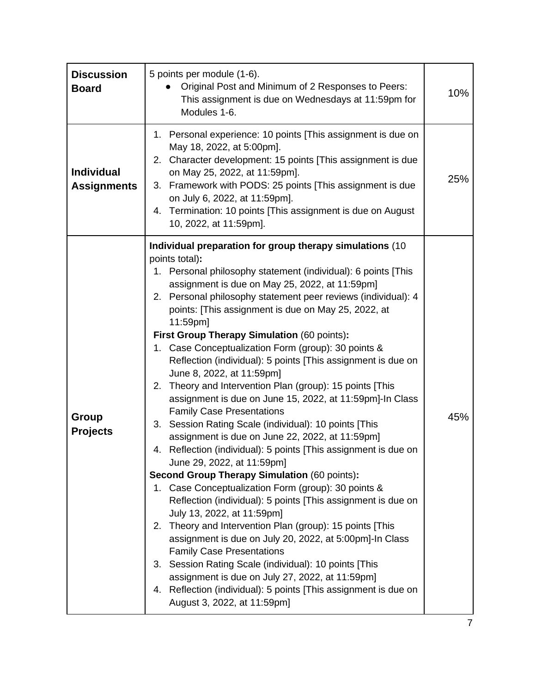| <b>Discussion</b><br><b>Board</b>       | 5 points per module (1-6).<br>Original Post and Minimum of 2 Responses to Peers:<br>This assignment is due on Wednesdays at 11:59pm for<br>Modules 1-6.                                                                                                                                                                                                                                                                                                                                                                                                                                                                                                                                                                                                                                                                                                                                                                                                                                                                                                                                                                                                                                                                                                                                                                                                                                                                                                                                                     | 10% |
|-----------------------------------------|-------------------------------------------------------------------------------------------------------------------------------------------------------------------------------------------------------------------------------------------------------------------------------------------------------------------------------------------------------------------------------------------------------------------------------------------------------------------------------------------------------------------------------------------------------------------------------------------------------------------------------------------------------------------------------------------------------------------------------------------------------------------------------------------------------------------------------------------------------------------------------------------------------------------------------------------------------------------------------------------------------------------------------------------------------------------------------------------------------------------------------------------------------------------------------------------------------------------------------------------------------------------------------------------------------------------------------------------------------------------------------------------------------------------------------------------------------------------------------------------------------------|-----|
| <b>Individual</b><br><b>Assignments</b> | 1. Personal experience: 10 points [This assignment is due on<br>May 18, 2022, at 5:00pm].<br>2. Character development: 15 points [This assignment is due<br>on May 25, 2022, at 11:59pm].<br>3. Framework with PODS: 25 points [This assignment is due<br>on July 6, 2022, at 11:59pm].<br>4. Termination: 10 points [This assignment is due on August<br>10, 2022, at 11:59pm].                                                                                                                                                                                                                                                                                                                                                                                                                                                                                                                                                                                                                                                                                                                                                                                                                                                                                                                                                                                                                                                                                                                            | 25% |
| Group<br><b>Projects</b>                | Individual preparation for group therapy simulations (10<br>points total):<br>1. Personal philosophy statement (individual): 6 points [This<br>assignment is due on May 25, 2022, at 11:59pm]<br>2. Personal philosophy statement peer reviews (individual): 4<br>points: [This assignment is due on May 25, 2022, at<br>11:59pm]<br>First Group Therapy Simulation (60 points):<br>Case Conceptualization Form (group): 30 points &<br>1.<br>Reflection (individual): 5 points [This assignment is due on<br>June 8, 2022, at 11:59pm]<br>2. Theory and Intervention Plan (group): 15 points [This<br>assignment is due on June 15, 2022, at 11:59pm]-In Class<br><b>Family Case Presentations</b><br>Session Rating Scale (individual): 10 points [This<br>3.<br>assignment is due on June 22, 2022, at 11:59pm]<br>Reflection (individual): 5 points [This assignment is due on<br>4.<br>June 29, 2022, at 11:59pm]<br><b>Second Group Therapy Simulation (60 points):</b><br>1. Case Conceptualization Form (group): 30 points &<br>Reflection (individual): 5 points [This assignment is due on<br>July 13, 2022, at 11:59pm]<br>2. Theory and Intervention Plan (group): 15 points [This<br>assignment is due on July 20, 2022, at 5:00pm]-In Class<br><b>Family Case Presentations</b><br>3. Session Rating Scale (individual): 10 points [This<br>assignment is due on July 27, 2022, at 11:59pm]<br>4. Reflection (individual): 5 points [This assignment is due on<br>August 3, 2022, at 11:59pm] | 45% |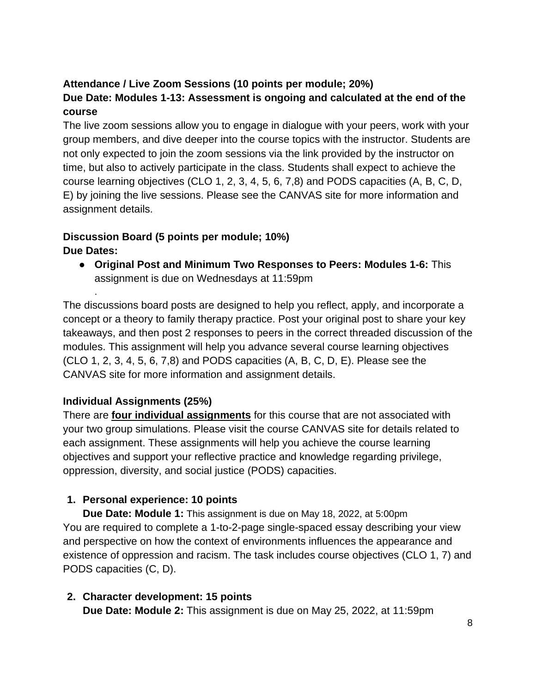# **Attendance / Live Zoom Sessions (10 points per module; 20%) Due Date: Modules 1-13: Assessment is ongoing and calculated at the end of the course**

The live zoom sessions allow you to engage in dialogue with your peers, work with your group members, and dive deeper into the course topics with the instructor. Students are not only expected to join the zoom sessions via the link provided by the instructor on time, but also to actively participate in the class. Students shall expect to achieve the course learning objectives (CLO 1, 2, 3, 4, 5, 6, 7,8) and PODS capacities (A, B, C, D, E) by joining the live sessions. Please see the CANVAS site for more information and assignment details.

# **Discussion Board (5 points per module; 10%) Due Dates:**

● **Original Post and Minimum Two Responses to Peers: Modules 1-6:** This assignment is due on Wednesdays at 11:59pm

The discussions board posts are designed to help you reflect, apply, and incorporate a concept or a theory to family therapy practice. Post your original post to share your key takeaways, and then post 2 responses to peers in the correct threaded discussion of the modules. This assignment will help you advance several course learning objectives (CLO 1, 2, 3, 4, 5, 6, 7,8) and PODS capacities (A, B, C, D, E). Please see the CANVAS site for more information and assignment details.

## **Individual Assignments (25%)**

.

There are **four individual assignments** for this course that are not associated with your two group simulations. Please visit the course CANVAS site for details related to each assignment. These assignments will help you achieve the course learning objectives and support your reflective practice and knowledge regarding privilege, oppression, diversity, and social justice (PODS) capacities.

## **1. Personal experience: 10 points**

**Due Date: Module 1:** This assignment is due on May 18, 2022, at 5:00pm You are required to complete a 1-to-2-page single-spaced essay describing your view and perspective on how the context of environments influences the appearance and existence of oppression and racism. The task includes course objectives (CLO 1, 7) and PODS capacities (C, D).

#### **2. Character development: 15 points Due Date: Module 2:** This assignment is due on May 25, 2022, at 11:59pm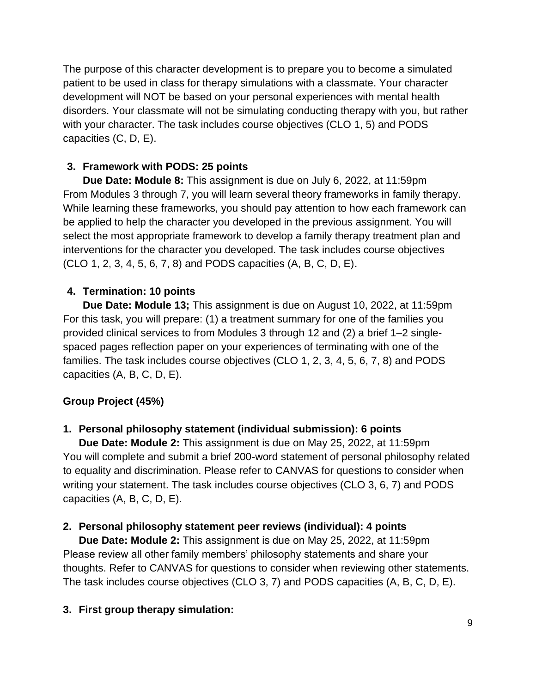The purpose of this character development is to prepare you to become a simulated patient to be used in class for therapy simulations with a classmate. Your character development will NOT be based on your personal experiences with mental health disorders. Your classmate will not be simulating conducting therapy with you, but rather with your character. The task includes course objectives (CLO 1, 5) and PODS capacities (C, D, E).

# **3. Framework with PODS: 25 points**

**Due Date: Module 8:** This assignment is due on July 6, 2022, at 11:59pm From Modules 3 through 7, you will learn several theory frameworks in family therapy. While learning these frameworks, you should pay attention to how each framework can be applied to help the character you developed in the previous assignment. You will select the most appropriate framework to develop a family therapy treatment plan and interventions for the character you developed. The task includes course objectives (CLO 1, 2, 3, 4, 5, 6, 7, 8) and PODS capacities (A, B, C, D, E).

## **4. Termination: 10 points**

**Due Date: Module 13;** This assignment is due on August 10, 2022, at 11:59pm For this task, you will prepare: (1) a treatment summary for one of the families you provided clinical services to from Modules 3 through 12 and (2) a brief 1–2 singlespaced pages reflection paper on your experiences of terminating with one of the families. The task includes course objectives (CLO 1, 2, 3, 4, 5, 6, 7, 8) and PODS capacities (A, B, C, D, E).

## **Group Project (45%)**

## **1. Personal philosophy statement (individual submission): 6 points**

**Due Date: Module 2:** This assignment is due on May 25, 2022, at 11:59pm You will complete and submit a brief 200-word statement of personal philosophy related to equality and discrimination. Please refer to CANVAS for questions to consider when writing your statement. The task includes course objectives (CLO 3, 6, 7) and PODS capacities (A, B, C, D, E).

## **2. Personal philosophy statement peer reviews (individual): 4 points**

**Due Date: Module 2:** This assignment is due on May 25, 2022, at 11:59pm Please review all other family members' philosophy statements and share your thoughts. Refer to CANVAS for questions to consider when reviewing other statements. The task includes course objectives (CLO 3, 7) and PODS capacities (A, B, C, D, E).

# **3. First group therapy simulation:**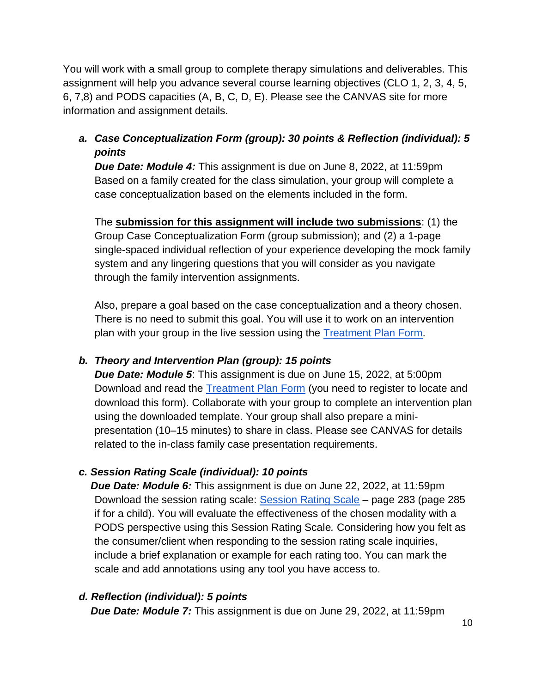You will work with a small group to complete therapy simulations and deliverables. This assignment will help you advance several course learning objectives (CLO 1, 2, 3, 4, 5, 6, 7,8) and PODS capacities (A, B, C, D, E). Please see the CANVAS site for more information and assignment details.

# *a. Case Conceptualization Form (group): 30 points & Reflection (individual): 5 points*

*Due Date: Module 4:* This assignment is due on June 8, 2022, at 11:59pm Based on a family created for the class simulation, your group will complete a case conceptualization based on the elements included in the form.

The **submission for this assignment will include two submissions**: (1) the Group Case Conceptualization Form (group submission); and (2) a 1-page single-spaced individual reflection of your experience developing the mock family system and any lingering questions that you will consider as you navigate through the family intervention assignments.

Also, prepare a goal based on the case conceptualization and a theory chosen. There is no need to submit this goal. You will use it to work on an intervention plan with your group in the live session using the [Treatment Plan Form.](https://www.therapythatworksinstitute.com/textbook-free-forms)

## *b. Theory and Intervention Plan (group): 15 points*

*Due Date: Module 5*: This assignment is due on June 15, 2022, at 5:00pm Download and read the [Treatment Plan Form](https://www.therapythatworksinstitute.com/textbook-free-forms) (you need to register to locate and download this form). Collaborate with your group to complete an intervention plan using the downloaded template. Your group shall also prepare a minipresentation (10–15 minutes) to share in class. Please see CANVAS for details related to the in-class family case presentation requirements.

## *c. Session Rating Scale (individual): 10 points*

*Due Date: Module 6:* This assignment is due on June 22, 2022, at 11:59pm Download the session rating scale: [Session Rating Scale](https://onlinelibrary.wiley.com/doi/pdf/10.1002/9781119221562.app3) – page 283 (page 285 if for a child). You will evaluate the effectiveness of the chosen modality with a PODS perspective using this Session Rating Scale*.* Considering how you felt as the consumer/client when responding to the session rating scale inquiries, include a brief explanation or example for each rating too. You can mark the scale and add annotations using any tool you have access to.

## *d. Reflection (individual): 5 points*

*Due Date: Module 7:* This assignment is due on June 29, 2022, at 11:59pm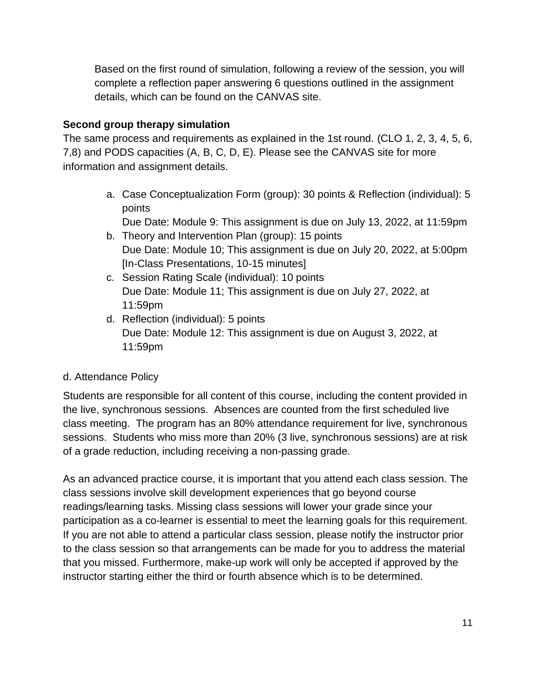Based on the first round of simulation, following a review of the session, you will complete a reflection paper answering 6 questions outlined in the assignment details, which can be found on the CANVAS site.

#### **Second group therapy simulation**

The same process and requirements as explained in the 1st round. (CLO 1, 2, 3, 4, 5, 6, 7,8) and PODS capacities (A, B, C, D, E). Please see the CANVAS site for more information and assignment details.

> a. Case Conceptualization Form (group): 30 points & Reflection (individual): 5 points

Due Date: Module 9: This assignment is due on July 13, 2022, at 11:59pm

- b. Theory and Intervention Plan (group): 15 points Due Date: Module 10; This assignment is due on July 20, 2022, at 5:00pm [In-Class Presentations, 10-15 minutes]
- c. Session Rating Scale (individual): 10 points Due Date: Module 11; This assignment is due on July 27, 2022, at 11:59pm
- d. Reflection (individual): 5 points Due Date: Module 12: This assignment is due on August 3, 2022, at 11:59pm

## d. Attendance Policy

Students are responsible for all content of this course, including the content provided in the live, synchronous sessions. Absences are counted from the first scheduled live class meeting. The program has an 80% attendance requirement for live, synchronous sessions. Students who miss more than 20% (3 live, synchronous sessions) are at risk of a grade reduction, including receiving a non-passing grade.

As an advanced practice course, it is important that you attend each class session. The class sessions involve skill development experiences that go beyond course readings/learning tasks. Missing class sessions will lower your grade since your participation as a co-learner is essential to meet the learning goals for this requirement. If you are not able to attend a particular class session, please notify the instructor prior to the class session so that arrangements can be made for you to address the material that you missed. Furthermore, make-up work will only be accepted if approved by the instructor starting either the third or fourth absence which is to be determined.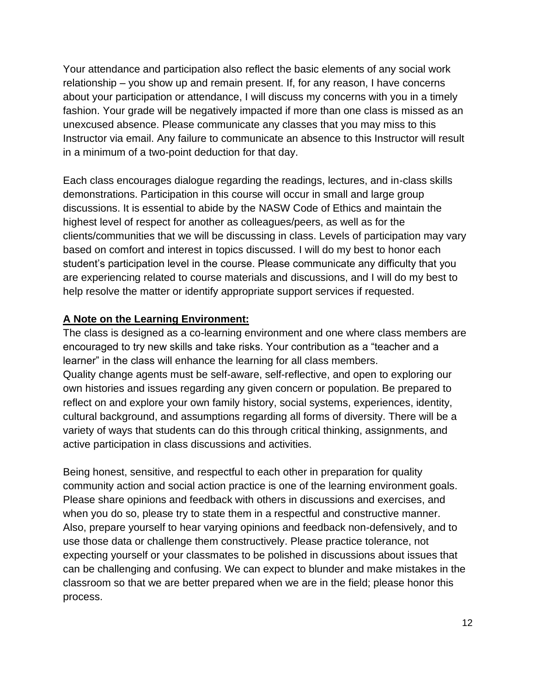Your attendance and participation also reflect the basic elements of any social work relationship – you show up and remain present. If, for any reason, I have concerns about your participation or attendance, I will discuss my concerns with you in a timely fashion. Your grade will be negatively impacted if more than one class is missed as an unexcused absence. Please communicate any classes that you may miss to this Instructor via email. Any failure to communicate an absence to this Instructor will result in a minimum of a two-point deduction for that day.

Each class encourages dialogue regarding the readings, lectures, and in-class skills demonstrations. Participation in this course will occur in small and large group discussions. It is essential to abide by the NASW Code of Ethics and maintain the highest level of respect for another as colleagues/peers, as well as for the clients/communities that we will be discussing in class. Levels of participation may vary based on comfort and interest in topics discussed. I will do my best to honor each student's participation level in the course. Please communicate any difficulty that you are experiencing related to course materials and discussions, and I will do my best to help resolve the matter or identify appropriate support services if requested.

#### **A Note on the Learning Environment:**

The class is designed as a co-learning environment and one where class members are encouraged to try new skills and take risks. Your contribution as a "teacher and a learner" in the class will enhance the learning for all class members. Quality change agents must be self-aware, self-reflective, and open to exploring our own histories and issues regarding any given concern or population. Be prepared to reflect on and explore your own family history, social systems, experiences, identity, cultural background, and assumptions regarding all forms of diversity. There will be a variety of ways that students can do this through critical thinking, assignments, and active participation in class discussions and activities.

Being honest, sensitive, and respectful to each other in preparation for quality community action and social action practice is one of the learning environment goals. Please share opinions and feedback with others in discussions and exercises, and when you do so, please try to state them in a respectful and constructive manner. Also, prepare yourself to hear varying opinions and feedback non-defensively, and to use those data or challenge them constructively. Please practice tolerance, not expecting yourself or your classmates to be polished in discussions about issues that can be challenging and confusing. We can expect to blunder and make mistakes in the classroom so that we are better prepared when we are in the field; please honor this process.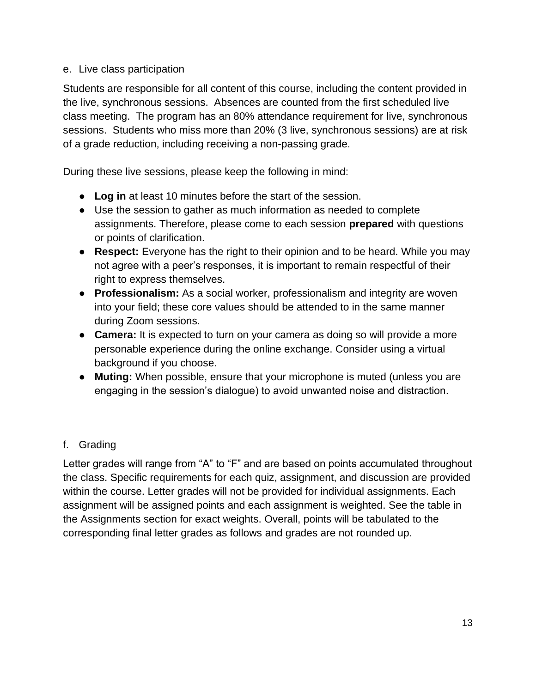#### e. Live class participation

Students are responsible for all content of this course, including the content provided in the live, synchronous sessions. Absences are counted from the first scheduled live class meeting. The program has an 80% attendance requirement for live, synchronous sessions. Students who miss more than 20% (3 live, synchronous sessions) are at risk of a grade reduction, including receiving a non-passing grade.

During these live sessions, please keep the following in mind:

- **Log in** at least 10 minutes before the start of the session.
- Use the session to gather as much information as needed to complete assignments. Therefore, please come to each session **prepared** with questions or points of clarification.
- **Respect:** Everyone has the right to their opinion and to be heard. While you may not agree with a peer's responses, it is important to remain respectful of their right to express themselves.
- **Professionalism:** As a social worker, professionalism and integrity are woven into your field; these core values should be attended to in the same manner during Zoom sessions.
- **Camera:** It is expected to turn on your camera as doing so will provide a more personable experience during the online exchange. Consider using a virtual background if you choose.
- **Muting:** When possible, ensure that your microphone is muted (unless you are engaging in the session's dialogue) to avoid unwanted noise and distraction.

## f. Grading

Letter grades will range from "A" to "F" and are based on points accumulated throughout the class. Specific requirements for each quiz, assignment, and discussion are provided within the course. Letter grades will not be provided for individual assignments. Each assignment will be assigned points and each assignment is weighted. See the table in the Assignments section for exact weights. Overall, points will be tabulated to the corresponding final letter grades as follows and grades are not rounded up.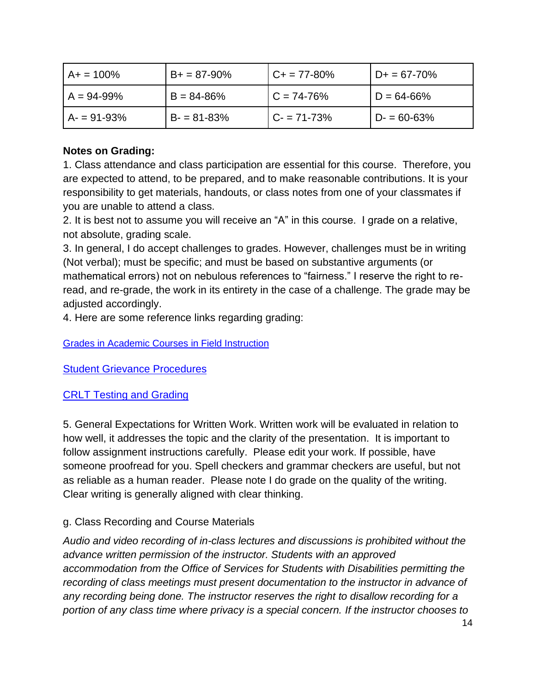| $A+ = 100\%$   | $B+ = 87-90\%$ | $C + 77 - 80\%$ | $D+ = 67 - 70\%$ |
|----------------|----------------|-----------------|------------------|
| $A = 94 - 99%$ | $B = 84 - 86%$ | $C = 74 - 76%$  | $D = 64 - 66%$   |
| $A - 91 - 93%$ | $B - 81 - 83%$ | $C - 71 - 73%$  | $D = 60 - 63%$   |

## **Notes on Grading:**

1. Class attendance and class participation are essential for this course. Therefore, you are expected to attend, to be prepared, and to make reasonable contributions. It is your responsibility to get materials, handouts, or class notes from one of your classmates if you are unable to attend a class.

2. It is best not to assume you will receive an "A" in this course. I grade on a relative, not absolute, grading scale.

3. In general, I do accept challenges to grades. However, challenges must be in writing (Not verbal); must be specific; and must be based on substantive arguments (or mathematical errors) not on nebulous references to "fairness." I reserve the right to reread, and re-grade, the work in its entirety in the case of a challenge. The grade may be adjusted accordingly.

<span id="page-13-0"></span>4. Here are some reference links regarding grading:

<span id="page-13-1"></span>[Grades in Academic Courses in Field Instruction](#page-13-0)

<span id="page-13-2"></span>[Student Grievance](#page-13-1) Procedures

## [CRLT Testing and Grading](#page-13-2)

5. General Expectations for Written Work. Written work will be evaluated in relation to how well, it addresses the topic and the clarity of the presentation. It is important to follow assignment instructions carefully. Please edit your work. If possible, have someone proofread for you. Spell checkers and grammar checkers are useful, but not as reliable as a human reader. Please note I do grade on the quality of the writing. Clear writing is generally aligned with clear thinking.

## g. Class Recording and Course Materials

*Audio and video recording of in-class lectures and discussions is prohibited without the advance written permission of the instructor. Students with an approved accommodation from the Office of Services for Students with Disabilities permitting the recording of class meetings must present documentation to the instructor in advance of any recording being done. The instructor reserves the right to disallow recording for a portion of any class time where privacy is a special concern. If the instructor chooses to*